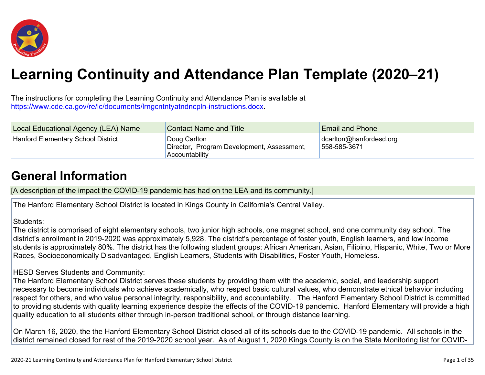

# **Learning Continuity and Attendance Plan Template (2020–21)**

The instructions for completing the Learning Continuity and Attendance Plan is available at <https://www.cde.ca.gov/re/lc/documents/lrngcntntyatndncpln-instructions.docx>.

| Local Educational Agency (LEA) Name | <b>Contact Name and Title</b>                                                | <b>Email and Phone</b>                           |
|-------------------------------------|------------------------------------------------------------------------------|--------------------------------------------------|
| Hanford Elementary School District  | Doug Carlton<br>Director, Program Development, Assessment,<br>Accountability | $\alpha$ dcariton@hanfordesd.org<br>558-585-3671 |

## **General [Information](http://www.doc-tracking.com/screenshots/20LCP/Instructions/20LCPInstructions.htm#generalinformation)**

[A description of the impact the COVID-19 pandemic has had on the LEA and its community.]

The Hanford Elementary School District is located in Kings County in California's Central Valley.

#### Students:

The district is comprised of eight elementary schools, two junior high schools, one magnet school, and one community day school. The district's enrollment in 2019-2020 was approximately 5,928. The district's percentage of foster youth, English learners, and low income students is approximately 80%. The district has the following student groups: African American, Asian, Filipino, Hispanic, White, Two or More Races, Socioeconomically Disadvantaged, English Learners, Students with Disabilities, Foster Youth, Homeless.

#### HESD Serves Students and Community:

The Hanford Elementary School District serves these students by providing them with the academic, social, and leadership support necessary to become individuals who achieve academically, who respect basic cultural values, who demonstrate ethical behavior including respect for others, and who value personal integrity, responsibility, and accountability. The Hanford Elementary School District is committed to providing students with quality learning experience despite the effects of the COVID-19 pandemic. Hanford Elementary will provide a high quality education to all students either through in-person traditional school, or through distance learning.

On March 16, 2020, the the Hanford Elementary School District closed all of its schools due to the COVID-19 pandemic. All schools in the district remained closed for rest of the 2019-2020 school year. As of August 1, 2020 Kings County is on the State Monitoring list for COVID-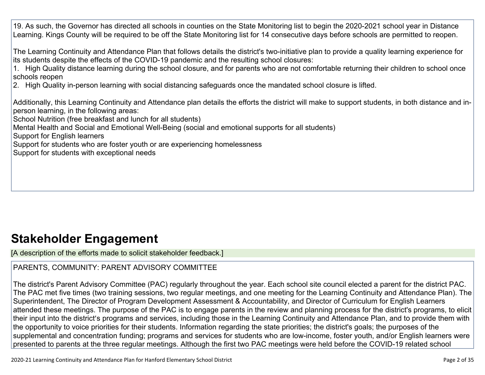19. As such, the Governor has directed all schools in counties on the State Monitoring list to begin the 2020-2021 school year in Distance Learning. Kings County will be required to be off the State Monitoring list for 14 consecutive days before schools are permitted to reopen.

The Learning Continuity and Attendance Plan that follows details the district's two-initiative plan to provide a quality learning experience for its students despite the effects of the COVID-19 pandemic and the resulting school closures:

1. High Quality distance learning during the school closure, and for parents who are not comfortable returning their children to school once schools reopen

2. High Quality in-person learning with social distancing safeguards once the mandated school closure is lifted.

Additionally, this Learning Continuity and Attendance plan details the efforts the district will make to support students, in both distance and inperson learning, in the following areas:

School Nutrition (free breakfast and lunch for all students)

Mental Health and Social and Emotional Well-Being (social and emotional supports for all students)

Support for English learners

Support for students who are foster youth or are experiencing homelessness

Support for students with exceptional needs

## **Stakeholder [Engagement](http://www.doc-tracking.com/screenshots/20LCP/Instructions/20LCPInstructions.htm#stakeholderengagement)**

[A description of the efforts made to solicit stakeholder feedback.]

### PARENTS, COMMUNITY: PARENT ADVISORY COMMITTEE

The district's Parent Advisory Committee (PAC) regularly throughout the year. Each school site council elected a parent for the district PAC. The PAC met five times (two training sessions, two regular meetings, and one meeting for the Learning Continuity and Attendance Plan). The Superintendent, The Director of Program Development Assessment & Accountability, and Director of Curriculum for English Learners attended these meetings. The purpose of the PAC is to engage parents in the review and planning process for the district's programs, to elicit their input into the district's programs and services, including those in the Learning Continuity and Attendance Plan, and to provide them with the opportunity to voice priorities for their students. Information regarding the state priorities; the district's goals; the purposes of the supplemental and concentration funding; programs and services for students who are low-income, foster youth, and/or English learners were presented to parents at the three regular meetings. Although the first two PAC meetings were held before the COVID-19 related school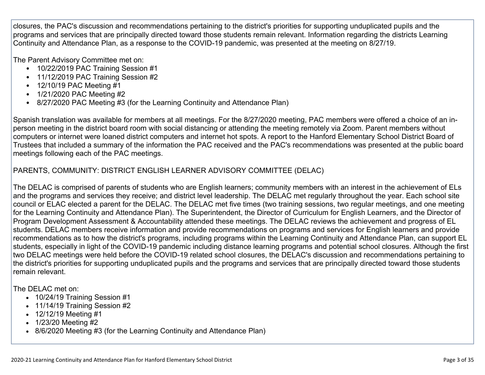closures, the PAC's discussion and recommendations pertaining to the district's priorities for supporting unduplicated pupils and the programs and services that are principally directed toward those students remain relevant. Information regarding the districts Learning Continuity and Attendance Plan, as a response to the COVID-19 pandemic, was presented at the meeting on 8/27/19.

The Parent Advisory Committee met on:

- 10/22/2019 PAC Training Session #1
- 11/12/2019 PAC Training Session #2
- 12/10/19 PAC Meeting #1
- 1/21/2020 PAC Meeting #2
- 8/27/2020 PAC Meeting #3 (for the Learning Continuity and Attendance Plan)

Spanish translation was available for members at all meetings. For the 8/27/2020 meeting, PAC members were offered a choice of an inperson meeting in the district board room with social distancing or attending the meeting remotely via Zoom. Parent members without computers or internet were loaned district computers and internet hot spots. A report to the Hanford Elementary School District Board of Trustees that included a summary of the information the PAC received and the PAC's recommendations was presented at the public board meetings following each of the PAC meetings.

#### PARENTS, COMMUNITY: DISTRICT ENGLISH LEARNER ADVISORY COMMITTEE (DELAC)

The DELAC is comprised of parents of students who are English learners; community members with an interest in the achievement of ELs and the programs and services they receive; and district level leadership. The DELAC met regularly throughout the year. Each school site council or ELAC elected a parent for the DELAC. The DELAC met five times (two training sessions, two regular meetings, and one meeting for the Learning Continuity and Attendance Plan). The Superintendent, the Director of Curriculum for English Learners, and the Director of Program Development Assessment & Accountability attended these meetings. The DELAC reviews the achievement and progress of EL students. DELAC members receive information and provide recommendations on programs and services for English learners and provide recommendations as to how the district's programs, including programs within the Learning Continuity and Attendance Plan, can support EL students, especially in light of the COVID-19 pandemic including distance learning programs and potential school closures. Although the first two DELAC meetings were held before the COVID-19 related school closures, the DELAC's discussion and recommendations pertaining to the district's priorities for supporting unduplicated pupils and the programs and services that are principally directed toward those students remain relevant.

The DELAC met on:

- 10/24/19 Training Session #1
- 11/14/19 Training Session #2
- 12/12/19 Meeting #1
- 1/23/20 Meeting #2
- 8/6/2020 Meeting #3 (for the Learning Continuity and Attendance Plan)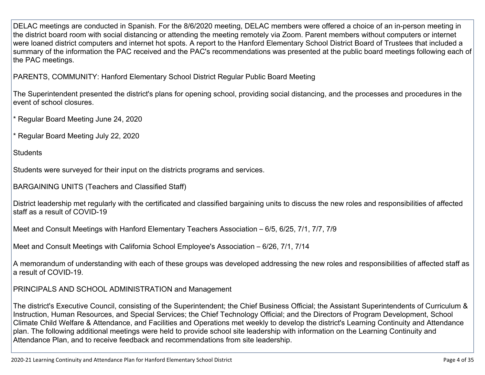DELAC meetings are conducted in Spanish. For the 8/6/2020 meeting, DELAC members were offered a choice of an in-person meeting in the district board room with social distancing or attending the meeting remotely via Zoom. Parent members without computers or internet were loaned district computers and internet hot spots. A report to the Hanford Elementary School District Board of Trustees that included a summary of the information the PAC received and the PAC's recommendations was presented at the public board meetings following each of the PAC meetings.

PARENTS, COMMUNITY: Hanford Elementary School District Regular Public Board Meeting

The Superintendent presented the district's plans for opening school, providing social distancing, and the processes and procedures in the event of school closures.

\* Regular Board Meeting June 24, 2020

\* Regular Board Meeting July 22, 2020

**Students** 

Students were surveyed for their input on the districts programs and services.

BARGAINING UNITS (Teachers and Classified Staff)

District leadership met regularly with the certificated and classified bargaining units to discuss the new roles and responsibilities of affected staff as a result of COVID-19

Meet and Consult Meetings with Hanford Elementary Teachers Association – 6/5, 6/25, 7/1, 7/7, 7/9

Meet and Consult Meetings with California School Employee's Association – 6/26, 7/1, 7/14

A memorandum of understanding with each of these groups was developed addressing the new roles and responsibilities of affected staff as a result of COVID-19.

PRINCIPALS AND SCHOOL ADMINISTRATION and Management

The district's Executive Council, consisting of the Superintendent; the Chief Business Official; the Assistant Superintendents of Curriculum & Instruction, Human Resources, and Special Services; the Chief Technology Official; and the Directors of Program Development, School Climate Child Welfare & Attendance, and Facilities and Operations met weekly to develop the district's Learning Continuity and Attendance plan. The following additional meetings were held to provide school site leadership with information on the Learning Continuity and Attendance Plan, and to receive feedback and recommendations from site leadership.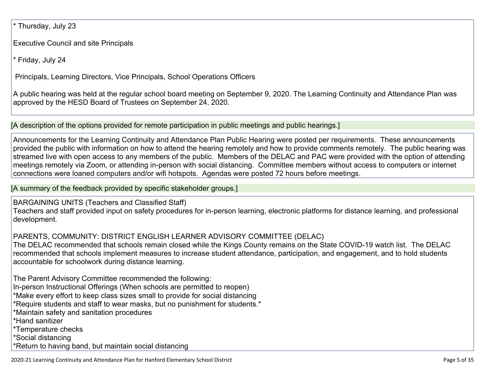Thursday, July 23

Executive Council and site Principals

\* Friday, July 24

Principals, Learning Directors, Vice Principals, School Operations Officers

A public hearing was held at the regular school board meeting on September 9, 2020. The Learning Continuity and Attendance Plan was approved by the HESD Board of Trustees on September 24, 2020.

[A description of the options provided for remote participation in public meetings and public hearings.]

Announcements for the Learning Continuity and Attendance Plan Public Hearing were posted per requirements. These announcements provided the public with information on how to attend the hearing remotely and how to provide comments remotely. The public hearing was streamed live with open access to any members of the public. Members of the DELAC and PAC were provided with the option of attending meetings remotely via Zoom, or attending in-person with social distancing. Committee members without access to computers or internet connections were loaned computers and/or wifi hotspots. Agendas were posted 72 hours before meetings.

[A summary of the feedback provided by specific stakeholder groups.]

BARGAINING UNITS (Teachers and Classified Staff) Teachers and staff provided input on safety procedures for in-person learning, electronic platforms for distance learning, and professional development.

PARENTS, COMMUNITY: DISTRICT ENGLISH LEARNER ADVISORY COMMITTEE (DELAC)

The DELAC recommended that schools remain closed while the Kings County remains on the State COVID-19 watch list. The DELAC recommended that schools implement measures to increase student attendance, participation, and engagement, and to hold students accountable for schoolwork during distance learning.

The Parent Advisory Committee recommended the following: In-person Instructional Offerings (When schools are permitted to reopen) \*Make every effort to keep class sizes small to provide for social distancing \*Require students and staff to wear masks, but no punishment for students.\* \*Maintain safety and sanitation procedures \*Hand sanitizer \*Temperature checks \*Social distancing

\*Return to having band, but maintain social distancing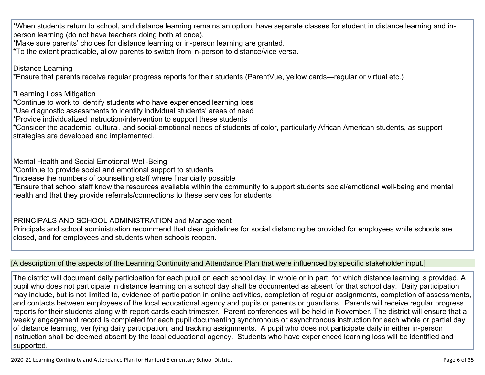\*When students return to school, and distance learning remains an option, have separate classes for student in distance learning and inperson learning (do not have teachers doing both at once).

\*Make sure parents' choices for distance learning or in-person learning are granted.

\*To the extent practicable, allow parents to switch from in-person to distance/vice versa.

Distance Learning

\*Ensure that parents receive regular progress reports for their students (ParentVue, yellow cards—regular or virtual etc.)

\*Learning Loss Mitigation

\*Continue to work to identify students who have experienced learning loss

\*Use diagnostic assessments to identify individual students' areas of need

\*Provide individualized instruction/intervention to support these students

\*Consider the academic, cultural, and social-emotional needs of students of color, particularly African American students, as support strategies are developed and implemented.

Mental Health and Social Emotional Well-Being

\*Continue to provide social and emotional support to students

\*Increase the numbers of counselling staff where financially possible

\*Ensure that school staff know the resources available within the community to support students social/emotional well-being and mental health and that they provide referrals/connections to these services for students

## PRINCIPALS AND SCHOOL ADMINISTRATION and Management

Principals and school administration recommend that clear guidelines for social distancing be provided for employees while schools are closed, and for employees and students when schools reopen.

### [A description of the aspects of the Learning Continuity and Attendance Plan that were influenced by specific stakeholder input.]

The district will document daily participation for each pupil on each school day, in whole or in part, for which distance learning is provided. A pupil who does not participate in distance learning on a school day shall be documented as absent for that school day. Daily participation may include, but is not limited to, evidence of participation in online activities, completion of regular assignments, completion of assessments, and contacts between employees of the local educational agency and pupils or parents or guardians. Parents will receive regular progress reports for their students along with report cards each trimester. Parent conferences will be held in November. The district will ensure that a weekly engagement record Is completed for each pupil documenting synchronous or asynchronous instruction for each whole or partial day of distance learning, verifying daily participation, and tracking assignments. A pupil who does not participate daily in either in-person instruction shall be deemed absent by the local educational agency. Students who have experienced learning loss will be identified and supported.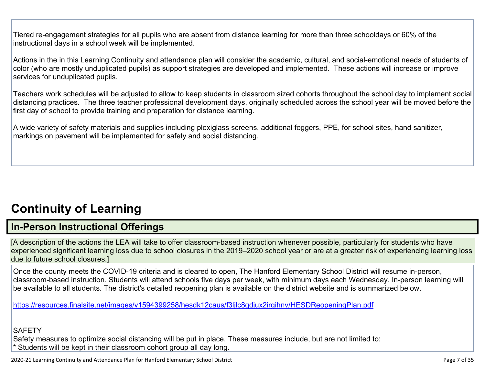Tiered re-engagement strategies for all pupils who are absent from distance learning for more than three schooldays or 60% of the instructional days in a school week will be implemented.

Actions in the in this Learning Continuity and attendance plan will consider the academic, cultural, and social-emotional needs of students of color (who are mostly unduplicated pupils) as support strategies are developed and implemented. These actions will increase or improve services for unduplicated pupils.

Teachers work schedules will be adjusted to allow to keep students in classroom sized cohorts throughout the school day to implement social distancing practices. The three teacher professional development days, originally scheduled across the school year will be moved before the first day of school to provide training and preparation for distance learning.

A wide variety of safety materials and supplies including plexiglass screens, additional foggers, PPE, for school sites, hand sanitizer, markings on pavement will be implemented for safety and social distancing.

## **[Continuity](http://www.doc-tracking.com/screenshots/20LCP/Instructions/20LCPInstructions.htm#ContinuityofLearning) of Learnin[g](http://www.doc-tracking.com/screenshots/20LCP/Instructions/20LCPInstructions.htm#ContinuityofLearning)**

## **In-Person [Instructional](http://www.doc-tracking.com/screenshots/20LCP/Instructions/20LCPInstructions.htm#ContinuityofLearning1) Offerings**

[A description of the actions the LEA will take to offer classroom-based instruction whenever possible, particularly for students who have experienced significant learning loss due to school closures in the 2019–2020 school year or are at a greater risk of experiencing learning loss due to future school closures.]

Once the county meets the COVID-19 criteria and is cleared to open, The Hanford Elementary School District will resume in-person, classroom-based instruction. Students will attend schools five days per week, with minimum days each Wednesday. In-person learning will be available to all students. The district's detailed reopening plan is available on the district website and is summarized below.

<https://resources.finalsite.net/images/v1594399258/hesdk12caus/f3ljlc8qdjux2irgihnv/HESDReopeningPlan.pdf>

**SAFETY** 

Safety measures to optimize social distancing will be put in place. These measures include, but are not limited to:

\* Students will be kept in their classroom cohort group all day long.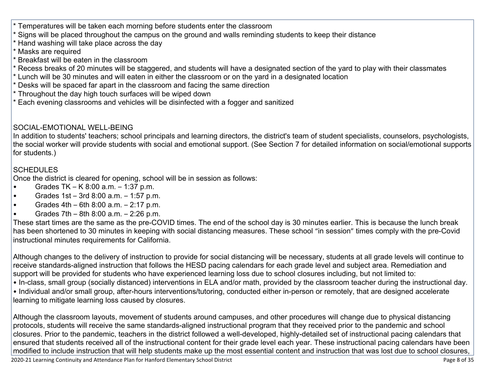- Temperatures will be taken each morning before students enter the classroom
- \* Signs will be placed throughout the campus on the ground and walls reminding students to keep their distance
- \* Hand washing will take place across the day
- \* Masks are required
- Breakfast will be eaten in the classroom
- \* Recess breaks of 20 minutes will be staggered, and students will have a designated section of the yard to play with their classmates
- \* Lunch will be 30 minutes and will eaten in either the classroom or on the yard in a designated location
- Desks will be spaced far apart in the classroom and facing the same direction
- \* Throughout the day high touch surfaces will be wiped down
- \* Each evening classrooms and vehicles will be disinfected with a fogger and sanitized

#### SOCIAL-EMOTIONAL WELL-BEING

In addition to students' teachers; school principals and learning directors, the district's team of student specialists, counselors, psychologists, the social worker will provide students with social and emotional support. (See Section 7 for detailed information on social/emotional supports for students.)

#### SCHEDULES

Once the district is cleared for opening, school will be in session as follows:

- Grades  $TK K 8:00$  a.m.  $1:37$  p.m.
- Grades 1st 3rd 8:00 a.m. 1:57 p.m.
- Grades  $4th 6th 8:00$  a.m.  $-2:17$  p.m.
- Grades 7th 8th 8:00 a.m. 2:26 p.m.

These start times are the same as the pre-COVID times. The end of the school day is 30 minutes earlier. This is because the lunch break has been shortened to 30 minutes in keeping with social distancing measures. These school "in session" times comply with the pre-Covid instructional minutes requirements for California.

Although changes to the delivery of instruction to provide for social distancing will be necessary, students at all grade levels will continue to receive standards-aligned instruction that follows the HESD pacing calendars for each grade level and subject area. Remediation and support will be provided for students who have experienced learning loss due to school closures including, but not limited to: • In-class, small group (socially distanced) interventions in ELA and/or math, provided by the classroom teacher during the instructional day. • Individual and/or small group, after-hours interventions/tutoring, conducted either in-person or remotely, that are designed accelerate

learning to mitigate learning loss caused by closures.

Although the classroom layouts, movement of students around campuses, and other procedures will change due to physical distancing protocols, students will receive the same standards-aligned instructional program that they received prior to the pandemic and school closures. Prior to the pandemic, teachers in the district followed a well-developed, highly-detailed set of instructional pacing calendars that ensured that students received all of the instructional content for their grade level each year. These instructional pacing calendars have been modified to include instruction that will help students make up the most essential content and instruction that was lost due to school closures,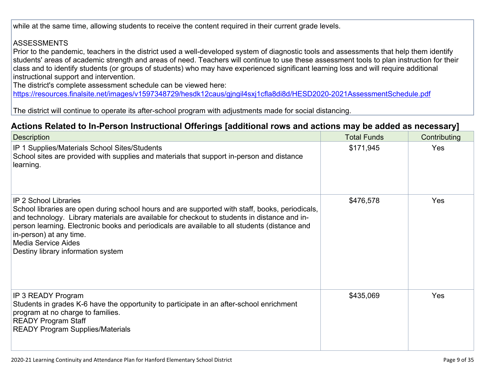while at the same time, allowing students to receive the content required in their current grade levels.

#### **ASSESSMENTS**

Prior to the pandemic, teachers in the district used a well-developed system of diagnostic tools and assessments that help them identify students' areas of academic strength and areas of need. Teachers will continue to use these assessment tools to plan instruction for their class and to identify students (or groups of students) who may have experienced significant learning loss and will require additional instructional support and intervention.

The district's complete assessment schedule can be viewed here:

<https://resources.finalsite.net/images/v1597348729/hesdk12caus/gjngil4sxj1cfla8di8d/HESD2020-2021AssessmentSchedule.pdf>

The district will continue to operate its after-school program with adjustments made for social distancing.

### **Actions Related to In-Person [Instructional](http://www.doc-tracking.com/screenshots/20LCP/Instructions/20LCPInstructions.htm#ContinuityofLearning2) Offerings [additional rows and actions may be added as necessary]**

| <b>Description</b>                                                                                                                                                                                                                                                                                                                                                                                                              | <b>Total Funds</b> | Contributing |
|---------------------------------------------------------------------------------------------------------------------------------------------------------------------------------------------------------------------------------------------------------------------------------------------------------------------------------------------------------------------------------------------------------------------------------|--------------------|--------------|
| IP 1 Supplies/Materials School Sites/Students<br>School sites are provided with supplies and materials that support in-person and distance<br>learning.                                                                                                                                                                                                                                                                         | \$171,945          | Yes          |
| <b>IP 2 School Libraries</b><br>School libraries are open during school hours and are supported with staff, books, periodicals,<br>and technology. Library materials are available for checkout to students in distance and in-<br>person learning. Electronic books and periodicals are available to all students (distance and<br>in-person) at any time.<br><b>Media Service Aides</b><br>Destiny library information system | \$476,578          | <b>Yes</b>   |
| IP 3 READY Program<br>Students in grades K-6 have the opportunity to participate in an after-school enrichment<br>program at no charge to families.<br><b>READY Program Staff</b><br><b>READY Program Supplies/Materials</b>                                                                                                                                                                                                    | \$435,069          | Yes          |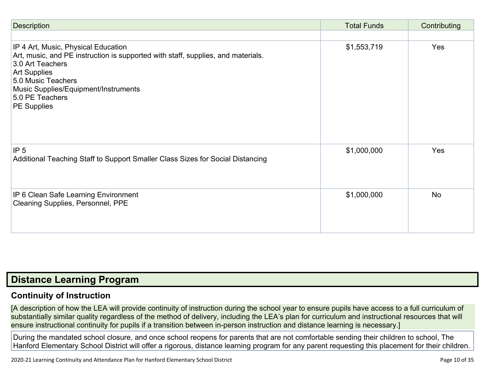| <b>Description</b>                                                                                                                                                                                                                                                        | <b>Total Funds</b> | Contributing |
|---------------------------------------------------------------------------------------------------------------------------------------------------------------------------------------------------------------------------------------------------------------------------|--------------------|--------------|
|                                                                                                                                                                                                                                                                           |                    |              |
| IP 4 Art, Music, Physical Education<br>Art, music, and PE instruction is supported with staff, supplies, and materials.<br>3.0 Art Teachers<br><b>Art Supplies</b><br>5.0 Music Teachers<br>Music Supplies/Equipment/Instruments<br>5.0 PE Teachers<br><b>PE Supplies</b> | \$1,553,719        | Yes          |
| IP <sub>5</sub><br>Additional Teaching Staff to Support Smaller Class Sizes for Social Distancing                                                                                                                                                                         | \$1,000,000        | Yes          |
| IP 6 Clean Safe Learning Environment<br>Cleaning Supplies, Personnel, PPE                                                                                                                                                                                                 | \$1,000,000        | <b>No</b>    |

## **Distance [Learning](http://www.doc-tracking.com/screenshots/20LCP/Instructions/20LCPInstructions.htm#DistanceLearningProgram) Program**

## **Continuity of [Instruction](http://www.doc-tracking.com/screenshots/20LCP/Instructions/20LCPInstructions.htm#DistanceLearningProgram1)**

[A description of how the LEA will provide continuity of instruction during the school year to ensure pupils have access to a full curriculum of substantially similar quality regardless of the method of delivery, including the LEA's plan for curriculum and instructional resources that will ensure instructional continuity for pupils if a transition between in-person instruction and distance learning is necessary.]

During the mandated school closure, and once school reopens for parents that are not comfortable sending their children to school, The Hanford Elementary School District will offer a rigorous, distance learning program for any parent requesting this placement for their children.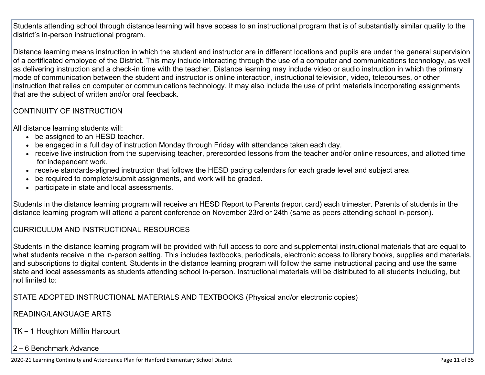Students attending school through distance learning will have access to an instructional program that is of substantially similar quality to the district's in-person instructional program.

Distance learning means instruction in which the student and instructor are in different locations and pupils are under the general supervision of a certificated employee of the District. This may include interacting through the use of a computer and communications technology, as well as delivering instruction and a check-in time with the teacher. Distance learning may include video or audio instruction in which the primary mode of communication between the student and instructor is online interaction, instructional television, video, telecourses, or other instruction that relies on computer or communications technology. It may also include the use of print materials incorporating assignments that are the subject of written and/or oral feedback.

#### CONTINUITY OF INSTRUCTION

All distance learning students will:

- be assigned to an HESD teacher.
- be engaged in a full day of instruction Monday through Friday with attendance taken each day.
- receive live instruction from the supervising teacher, prerecorded lessons from the teacher and/or online resources, and allotted time for independent work.
- receive standards-aligned instruction that follows the HESD pacing calendars for each grade level and subject area
- be required to complete/submit assignments, and work will be graded.
- participate in state and local assessments.

Students in the distance learning program will receive an HESD Report to Parents (report card) each trimester. Parents of students in the distance learning program will attend a parent conference on November 23rd or 24th (same as peers attending school in-person).

#### CURRICULUM AND INSTRUCTIONAL RESOURCES

Students in the distance learning program will be provided with full access to core and supplemental instructional materials that are equal to what students receive in the in-person setting. This includes textbooks, periodicals, electronic access to library books, supplies and materials, and subscriptions to digital content. Students in the distance learning program will follow the same instructional pacing and use the same state and local assessments as students attending school in-person. Instructional materials will be distributed to all students including, but not limited to:

STATE ADOPTED INSTRUCTIONAL MATERIALS AND TEXTBOOKS (Physical and/or electronic copies)

#### READING/LANGUAGE ARTS

TK – 1 Houghton Mifflin Harcourt

#### 2 – 6 Benchmark Advance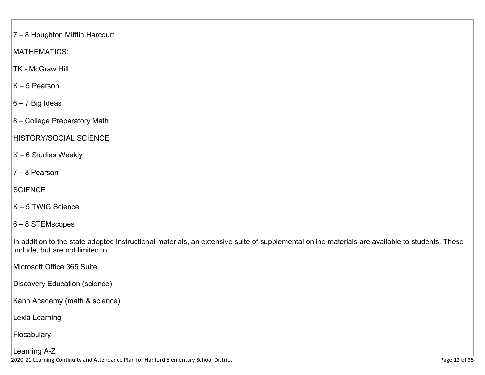7 – 8 Houghton Mifflin Harcourt

MATHEMATICS:

TK - McGraw Hill

K – 5 Pearson

6 – 7 Big Ideas

8 – College Preparatory Math

HISTORY/SOCIAL SCIENCE

K – 6 Studies Weekly

7 – 8 Pearson

**SCIENCE** 

K – 5 TWIG Science

6 – 8 STEMscopes

In addition to the state adopted instructional materials, an extensive suite of supplemental online materials are available to students. These include, but are not limited to:

Microsoft Office 365 Suite

Discovery Education (science)

Kahn Academy (math & science)

Lexia Learning

Flocabulary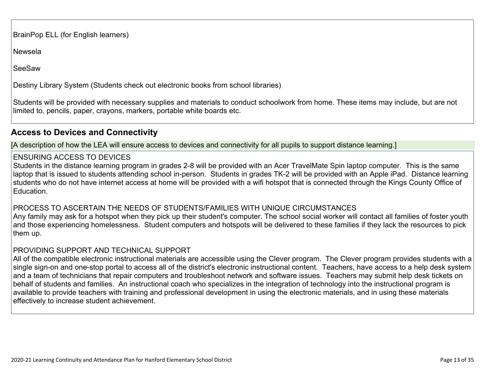BrainPop ELL (for English learners)

Newsela

SeeSaw

Destiny Library System (Students check out electronic books from school libraries)

Students will be provided with necessary supplies and materials to conduct schoolwork from home. These items may include, but are not limited to, pencils, paper, crayons, markers, portable white boards etc.

### **Access to Devices and [Connectivity](http://www.doc-tracking.com/screenshots/20LCP/Instructions/20LCPInstructions.htm#DistanceLearningProgram2)**

[A description of how the LEA will ensure access to devices and connectivity for all pupils to support distance learning.]

#### ENSURING ACCESS TO DEVICES

Students in the distance learning program in grades 2-8 will be provided with an Acer TravelMate Spin laptop computer. This is the same laptop that is issued to students attending school in-person. Students in grades TK-2 will be provided with an Apple iPad. Distance learning students who do not have internet access at home will be provided with a wifi hotspot that is connected through the Kings County Office of Education.

#### PROCESS TO ASCERTAIN THE NEEDS OF STUDENTS/FAMILIES WITH UNIQUE CIRCUMSTANCES

Any family may ask for a hotspot when they pick up their student's computer. The school social worker will contact all families of foster youth and those experiencing homelessness. Student computers and hotspots will be delivered to these families if they lack the resources to pick them up.

#### PROVIDING SUPPORT AND TECHNICAL SUPPORT

All of the compatible electronic instructional materials are accessible using the Clever program. The Clever program provides students with a single sign-on and one-stop portal to access all of the district's electronic instructional content. Teachers, have access to a help desk system and a team of technicians that repair computers and troubleshoot network and software issues. Teachers may submit help desk tickets on behalf of students and families. An instructional coach who specializes in the integration of technology into the instructional program is available to provide teachers with training and professional development in using the electronic materials, and in using these materials effectively to increase student achievement.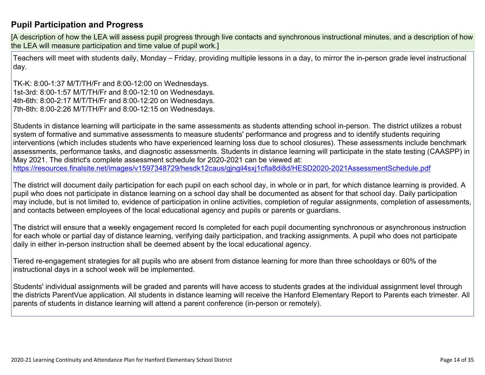### **Pupil [Participation](http://www.doc-tracking.com/screenshots/20LCP/Instructions/20LCPInstructions.htm#DistanceLearningProgram3) and Progress**

[A description of how the LEA will assess pupil progress through live contacts and synchronous instructional minutes, and a description of how the LEA will measure participation and time value of pupil work.]

Teachers will meet with students daily, Monday – Friday, providing multiple lessons in a day, to mirror the in-person grade level instructional day.

TK-K: 8:00-1:37 M/T/TH/Fr and 8:00-12:00 on Wednesdays. 1st-3rd: 8:00-1:57 M/T/TH/Fr and 8:00-12:10 on Wednesdays. 4th-6th: 8:00-2:17 M/T/TH/Fr and 8:00-12:20 on Wednesdays. 7th-8th: 8:00-2:26 M/T/TH/Fr and 8:00-12:15 on Wednesdays.

Students in distance learning will participate in the same assessments as students attending school in-person. The district utilizes a robust system of formative and summative assessments to measure students' performance and progress and to identify students requiring interventions (which includes students who have experienced learning loss due to school closures). These assessments include benchmark assessments, performance tasks, and diagnostic assessments. Students in distance learning will participate in the state testing (CAASPP) in May 2021. The district's complete assessment schedule for 2020-2021 can be viewed at: <https://resources.finalsite.net/images/v1597348729/hesdk12caus/gjngil4sxj1cfla8di8d/HESD2020-2021AssessmentSchedule.pdf>

The district will document daily participation for each pupil on each school day, in whole or in part, for which distance learning is provided. A pupil who does not participate in distance learning on a school day shall be documented as absent for that school day. Daily participation may include, but is not limited to, evidence of participation in online activities, completion of regular assignments, completion of assessments, and contacts between employees of the local educational agency and pupils or parents or guardians.

The district will ensure that a weekly engagement record Is completed for each pupil documenting synchronous or asynchronous instruction for each whole or partial day of distance learning, verifying daily participation, and tracking assignments. A pupil who does not participate daily in either in-person instruction shall be deemed absent by the local educational agency.

Tiered re-engagement strategies for all pupils who are absent from distance learning for more than three schooldays or 60% of the instructional days in a school week will be implemented.

Students' individual assignments will be graded and parents will have access to students grades at the individual assignment level through the districts ParentVue application. All students in distance learning will receive the Hanford Elementary Report to Parents each trimester. All parents of students in distance learning will attend a parent conference (in-person or remotely).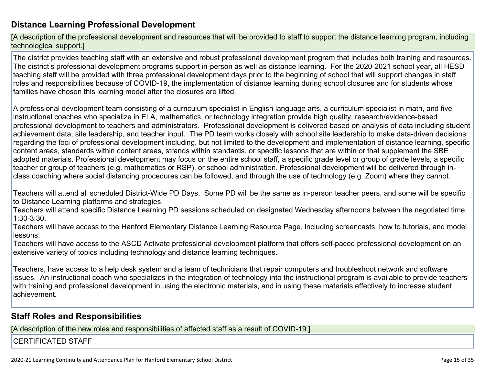### **Distance Learning Professional [Development](http://www.doc-tracking.com/screenshots/20LCP/Instructions/20LCPInstructions.htm#DistanceLearningProgram4)**

[A description of the professional development and resources that will be provided to staff to support the distance learning program, including technological support.]

The district provides teaching staff with an extensive and robust professional development program that includes both training and resources. The district's professional development programs support in-person as well as distance learning. For the 2020-2021 school year, all HESD teaching staff will be provided with three professional development days prior to the beginning of school that will support changes in staff roles and responsibilities because of COVID-19, the implementation of distance learning during school closures and for students whose families have chosen this learning model after the closures are lifted.

A professional development team consisting of a curriculum specialist in English language arts, a curriculum specialist in math, and five instructional coaches who specialize in ELA, mathematics, or technology integration provide high quality, research/evidence-based professional development to teachers and administrators. Professional development is delivered based on analysis of data including student achievement data, site leadership, and teacher input. The PD team works closely with school site leadership to make data-driven decisions regarding the foci of professional development including, but not limited to the development and implementation of distance learning, specific content areas, standards within content areas, strands within standards, or specific lessons that are within or that supplement the SBE adopted materials. Professional development may focus on the entire school staff, a specific grade level or group of grade levels, a specific teacher or group of teachers (e.g. mathematics or RSP), or school administration. Professional development will be delivered through inclass coaching where social distancing procedures can be followed, and through the use of technology (e.g. Zoom) where they cannot.

Teachers will attend all scheduled District-Wide PD Days. Some PD will be the same as in-person teacher peers, and some will be specific to Distance Learning platforms and strategies.

Teachers will attend specific Distance Learning PD sessions scheduled on designated Wednesday afternoons between the negotiated time, 1:30-3:30.

Teachers will have access to the Hanford Elementary Distance Learning Resource Page, including screencasts, how to tutorials, and model lessons.

Teachers will have access to the ASCD Activate professional development platform that offers self-paced professional development on an extensive variety of topics including technology and distance learning techniques.

Teachers, have access to a help desk system and a team of technicians that repair computers and troubleshoot network and software issues. An instructional coach who specializes in the integration of technology into the instructional program is available to provide teachers with training and professional development in using the electronic materials, and in using these materials effectively to increase student achievement.

#### **Staff Roles and [Responsibilities](http://www.doc-tracking.com/screenshots/20LCP/Instructions/20LCPInstructions.htm#DistanceLearningProgram5)**

[A description of the new roles and responsibilities of affected staff as a result of COVID-19.]

CERTIFICATED STAFF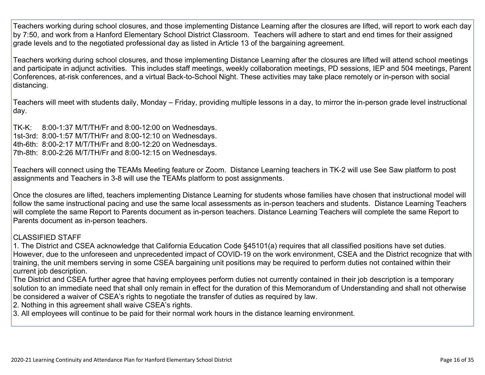Teachers working during school closures, and those implementing Distance Learning after the closures are lifted, will report to work each day by 7:50, and work from a Hanford Elementary School District Classroom. Teachers will adhere to start and end times for their assigned grade levels and to the negotiated professional day as listed in Article 13 of the bargaining agreement.

Teachers working during school closures, and those implementing Distance Learning after the closures are lifted will attend school meetings and participate in adjunct activities. This includes staff meetings, weekly collaboration meetings, PD sessions, IEP and 504 meetings, Parent Conferences, at-risk conferences, and a virtual Back-to-School Night. These activities may take place remotely or in-person with social distancing.

Teachers will meet with students daily, Monday – Friday, providing multiple lessons in a day, to mirror the in-person grade level instructional day.

TK-K: 8:00-1:37 M/T/TH/Fr and 8:00-12:00 on Wednesdays. 1st-3rd: 8:00-1:57 M/T/TH/Fr and 8:00-12:10 on Wednesdays. 4th-6th: 8:00-2:17 M/T/TH/Fr and 8:00-12:20 on Wednesdays. 7th-8th: 8:00-2:26 M/T/TH/Fr and 8:00-12:15 on Wednesdays.

Teachers will connect using the TEAMs Meeting feature or Zoom. Distance Learning teachers in TK-2 will use See Saw platform to post assignments and Teachers in 3-8 will use the TEAMs platform to post assignments.

Once the closures are lifted, teachers implementing Distance Learning for students whose families have chosen that instructional model will follow the same instructional pacing and use the same local assessments as in-person teachers and students. Distance Learning Teachers will complete the same Report to Parents document as in-person teachers. Distance Learning Teachers will complete the same Report to Parents document as in-person teachers.

#### CLASSIFIED STAFF

1. The District and CSEA acknowledge that California Education Code §45101(a) requires that all classified positions have set duties. However, due to the unforeseen and unprecedented impact of COVID-19 on the work environment, CSEA and the District recognize that with training, the unit members serving in some CSEA bargaining unit positions may be required to perform duties not contained within their current job description.

The District and CSEA further agree that having employees perform duties not currently contained in their job description is a temporary solution to an immediate need that shall only remain in effect for the duration of this Memorandum of Understanding and shall not otherwise be considered a waiver of CSEA's rights to negotiate the transfer of duties as required by law.

2. Nothing in this agreement shall waive CSEA's rights.

3. All employees will continue to be paid for their normal work hours in the distance learning environment.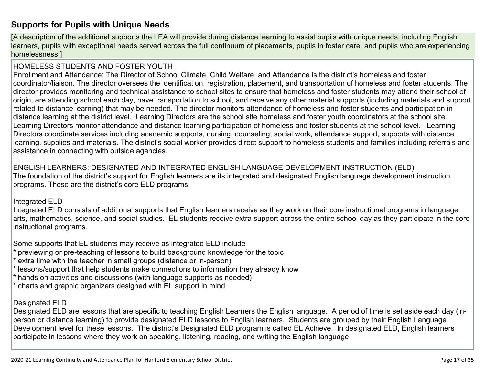### **[Supports](http://www.doc-tracking.com/screenshots/20LCP/Instructions/20LCPInstructions.htm#DistanceLearningProgram6) for Pupils with Unique Needs**

[A description of the additional supports the LEA will provide during distance learning to assist pupils with unique needs, including English learners, pupils with exceptional needs served across the full continuum of placements, pupils in foster care, and pupils who are experiencing homelessness.]

#### HOMELESS STUDENTS AND FOSTER YOUTH

Enrollment and Attendance: The Director of School Climate, Child Welfare, and Attendance is the district's homeless and foster coordinator/liaison. The director oversees the identification, registration, placement, and transportation of homeless and foster students. The director provides monitoring and technical assistance to school sites to ensure that homeless and foster students may attend their school of origin, are attending school each day, have transportation to school, and receive any other material supports (including materials and support related to distance learning) that may be needed. The director monitors attendance of homeless and foster students and participation in distance learning at the district level. Learning Directors are the school site homeless and foster youth coordinators at the school site. Learning Directors monitor attendance and distance learning participation of homeless and foster students at the school level. Learning Directors coordinate services including academic supports, nursing, counseling, social work, attendance support, supports with distance learning, supplies and materials. The district's social worker provides direct support to homeless students and families including referrals and assistance in connecting with outside agencies.

ENGLISH LEARNERS: DESIGNATED AND INTEGRATED ENGLISH LANGUAGE DEVELOPMENT INSTRUCTION (ELD) The foundation of the district's support for English learners are its integrated and designated English language development instruction programs. These are the district's core ELD programs.

#### Integrated ELD

Integrated ELD consists of additional supports that English learners receive as they work on their core instructional programs in language arts, mathematics, science, and social studies. EL students receive extra support across the entire school day as they participate in the core instructional programs.

Some supports that EL students may receive as integrated ELD include

- previewing or pre-teaching of lessons to build background knowledge for the topic
- \* extra time with the teacher in small groups (distance or in-person)
- lessons/support that help students make connections to information they already know
- hands on activities and discussions (with language supports as needed)
- \* charts and graphic organizers designed with EL support in mind

#### Designated ELD

Designated ELD are lessons that are specific to teaching English Learners the English language. A period of time is set aside each day (inperson or distance learning) to provide designated ELD lessons to English learners. Students are grouped by their English Language Development level for these lessons. The district's Designated ELD program is called EL Achieve. In designated ELD, English learners participate in lessons where they work on speaking, listening, reading, and writing the English language.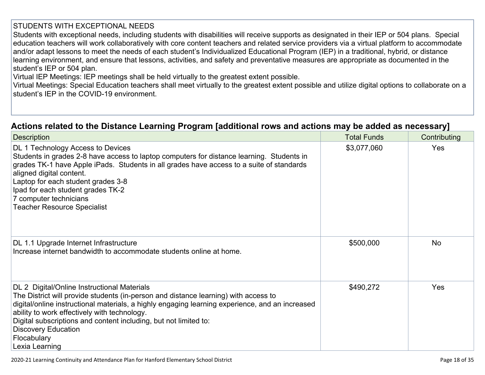#### STUDENTS WITH EXCEPTIONAL NEEDS

Students with exceptional needs, including students with disabilities will receive supports as designated in their IEP or 504 plans. Special education teachers will work collaboratively with core content teachers and related service providers via a virtual platform to accommodate and/or adapt lessons to meet the needs of each student's Individualized Educational Program (IEP) in a traditional, hybrid, or distance learning environment, and ensure that lessons, activities, and safety and preventative measures are appropriate as documented in the student's IEP or 504 plan.

Virtual IEP Meetings: IEP meetings shall be held virtually to the greatest extent possible.

Virtual Meetings: Special Education teachers shall meet virtually to the greatest extent possible and utilize digital options to collaborate on a student's IEP in the COVID-19 environment.

### **Actions related to the Distance Learning Program [additional rows and actions may be added as [necessary\]](http://www.doc-tracking.com/screenshots/20LCP/Instructions/20LCPInstructions.htm#DistanceLearningProgram7)**

| <b>Description</b>                                                                                                                                                                                                                                                                                                                                                                                                       | <b>Total Funds</b> | Contributing |
|--------------------------------------------------------------------------------------------------------------------------------------------------------------------------------------------------------------------------------------------------------------------------------------------------------------------------------------------------------------------------------------------------------------------------|--------------------|--------------|
| DL 1 Technology Access to Devices<br>Students in grades 2-8 have access to laptop computers for distance learning. Students in<br>grades TK-1 have Apple iPads. Students in all grades have access to a suite of standards<br>aligned digital content.<br>Laptop for each student grades 3-8<br>Ipad for each student grades TK-2<br>7 computer technicians<br><b>Teacher Resource Specialist</b>                        | \$3,077,060        | Yes          |
| DL 1.1 Upgrade Internet Infrastructure<br>Increase internet bandwidth to accommodate students online at home.                                                                                                                                                                                                                                                                                                            | \$500,000          | <b>No</b>    |
| DL 2 Digital/Online Instructional Materials<br>The District will provide students (in-person and distance learning) with access to<br>digital/online instructional materials, a highly engaging learning experience, and an increased<br>ability to work effectively with technology.<br>Digital subscriptions and content including, but not limited to:<br><b>Discovery Education</b><br>Flocabulary<br>Lexia Learning | \$490,272          | <b>Yes</b>   |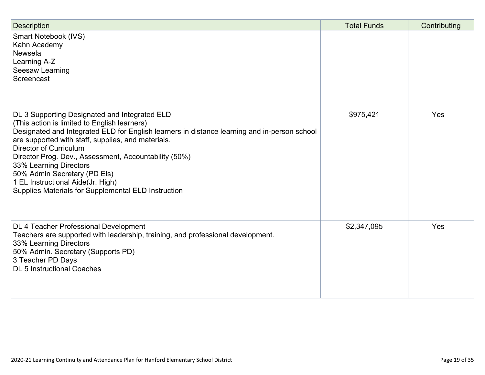| <b>Description</b>                                                                                                                                                                                                                                                                                                                                                                                                                                                                                  | <b>Total Funds</b> | Contributing |
|-----------------------------------------------------------------------------------------------------------------------------------------------------------------------------------------------------------------------------------------------------------------------------------------------------------------------------------------------------------------------------------------------------------------------------------------------------------------------------------------------------|--------------------|--------------|
| Smart Notebook (IVS)<br>Kahn Academy<br>Newsela<br>Learning A-Z<br>Seesaw Learning<br>Screencast                                                                                                                                                                                                                                                                                                                                                                                                    |                    |              |
| DL 3 Supporting Designated and Integrated ELD<br>(This action is limited to English learners)<br>Designated and Integrated ELD for English learners in distance learning and in-person school<br>are supported with staff, supplies, and materials.<br><b>Director of Curriculum</b><br>Director Prog. Dev., Assessment, Accountability (50%)<br>33% Learning Directors<br>50% Admin Secretary (PD Els)<br>1 EL Instructional Aide(Jr. High)<br>Supplies Materials for Supplemental ELD Instruction | \$975,421          | Yes          |
| DL 4 Teacher Professional Development<br>Teachers are supported with leadership, training, and professional development.<br>33% Learning Directors<br>50% Admin. Secretary (Supports PD)<br>3 Teacher PD Days<br><b>DL 5 Instructional Coaches</b>                                                                                                                                                                                                                                                  | \$2,347,095        | Yes          |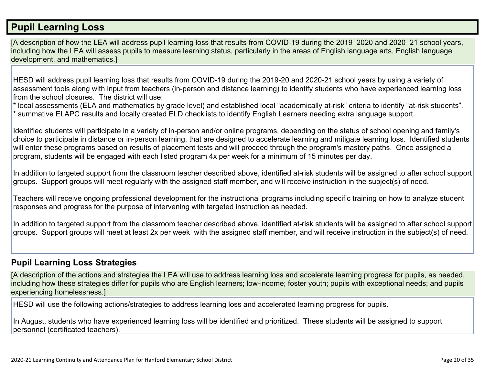## **Pupil [Learning](http://www.doc-tracking.com/screenshots/20LCP/Instructions/20LCPInstructions.htm#PupilLearningLoss) Loss**

[A description of how the LEA will address pupil learning loss that results from COVID-19 during the 2019–2020 and 2020–21 school years, including how the LEA will assess pupils to measure learning status, particularly in the areas of English language arts, English language development, and mathematics.]

HESD will address pupil learning loss that results from COVID-19 during the 2019-20 and 2020-21 school years by using a variety of assessment tools along with input from teachers (in-person and distance learning) to identify students who have experienced learning loss from the school closures. The district will use:

\* local assessments (ELA and mathematics by grade level) and established local "academically at-risk" criteria to identify "at-risk students". \* summative ELAPC results and locally created ELD checklists to identify English Learners needing extra language support.

Identified students will participate in a variety of in-person and/or online programs, depending on the status of school opening and family's choice to participate in distance or in-person learning, that are designed to accelerate learning and mitigate learning loss. Identified students will enter these programs based on results of placement tests and will proceed through the program's mastery paths. Once assigned a program, students will be engaged with each listed program 4x per week for a minimum of 15 minutes per day.

In addition to targeted support from the classroom teacher described above, identified at-risk students will be assigned to after school support groups. Support groups will meet regularly with the assigned staff member, and will receive instruction in the subject(s) of need.

Teachers will receive ongoing professional development for the instructional programs including specific training on how to analyze student responses and progress for the purpose of intervening with targeted instruction as needed.

In addition to targeted support from the classroom teacher described above, identified at-risk students will be assigned to after school support groups. Support groups will meet at least 2x per week with the assigned staff member, and will receive instruction in the subject(s) of need.

#### **Pupil Learning Loss [Strategies](http://www.doc-tracking.com/screenshots/20LCP/Instructions/20LCPInstructions.htm#PupilLearningLoss1)**

[A description of the actions and strategies the LEA will use to address learning loss and accelerate learning progress for pupils, as needed, including how these strategies differ for pupils who are English learners; low-income; foster youth; pupils with exceptional needs; and pupils experiencing homelessness.]

HESD will use the following actions/strategies to address learning loss and accelerated learning progress for pupils.

In August, students who have experienced learning loss will be identified and prioritized. These students will be assigned to support personnel (certificated teachers).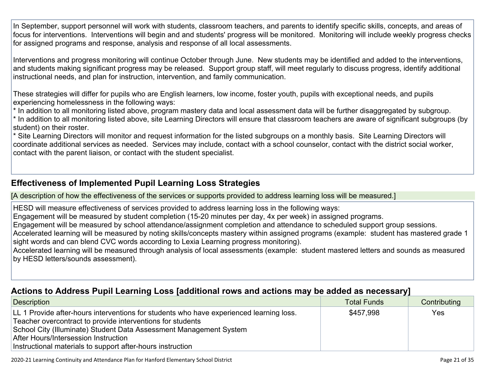In September, support personnel will work with students, classroom teachers, and parents to identify specific skills, concepts, and areas of focus for interventions. Interventions will begin and and students' progress will be monitored. Monitoring will include weekly progress checks for assigned programs and response, analysis and response of all local assessments.

Interventions and progress monitoring will continue October through June. New students may be identified and added to the interventions, and students making significant progress may be released. Support group staff, will meet regularly to discuss progress, identify additional instructional needs, and plan for instruction, intervention, and family communication.

These strategies will differ for pupils who are English learners, low income, foster youth, pupils with exceptional needs, and pupils experiencing homelessness in the following ways:

\* In addition to all monitoring listed above, program mastery data and local assessment data will be further disaggregated by subgroup. \* In addition to all monitoring listed above, site Learning Directors will ensure that classroom teachers are aware of significant subgroups (by student) on their roster.

\* Site Learning Directors will monitor and request information for the listed subgroups on a monthly basis. Site Learning Directors will coordinate additional services as needed. Services may include, contact with a school counselor, contact with the district social worker, contact with the parent liaison, or contact with the student specialist.

#### **[Effectiveness](http://www.doc-tracking.com/screenshots/20LCP/Instructions/20LCPInstructions.htm#PupilLearningLoss2) of Implemented Pupil Learning Loss Strategies**

[A description of how the effectiveness of the services or supports provided to address learning loss will be measured.]

HESD will measure effectiveness of services provided to address learning loss in the following ways:

Engagement will be measured by student completion (15-20 minutes per day, 4x per week) in assigned programs.

Engagement will be measured by school attendance/assignment completion and attendance to scheduled support group sessions.

Accelerated learning will be measured by noting skills/concepts mastery within assigned programs (example: student has mastered grade 1 sight words and can blend CVC words according to Lexia Learning progress monitoring).

Accelerated learning will be measured through analysis of local assessments (example: student mastered letters and sounds as measured by HESD letters/sounds assessment).

#### **Actions to Address Pupil Learning Loss [additional rows and actions may be added as [necessary\]](http://www.doc-tracking.com/screenshots/20LCP/Instructions/20LCPInstructions.htm#PupilLearningLoss4)**

| Description                                                                                                                                                                                                                                                                                                                       | <b>Total Funds</b> | Contributing |
|-----------------------------------------------------------------------------------------------------------------------------------------------------------------------------------------------------------------------------------------------------------------------------------------------------------------------------------|--------------------|--------------|
| LL 1 Provide after-hours interventions for students who have experienced learning loss.<br>Teacher overcontract to provide interventions for students<br>School City (Illuminate) Student Data Assessment Management System<br>After Hours/Intersession Instruction<br>Instructional materials to support after-hours instruction | \$457,998          | <b>Yes</b>   |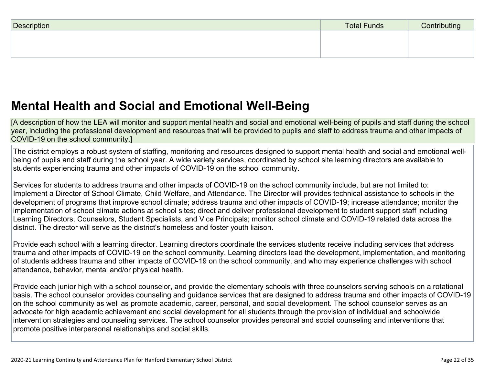| Description | <b>Total Funds</b> | Contributing |
|-------------|--------------------|--------------|
|             |                    |              |
|             |                    |              |
|             |                    |              |

## **Mental Health and Social and Emotional [Well-Being](http://www.doc-tracking.com/screenshots/20LCP/Instructions/20LCPInstructions.htm#MentalHealthandSocialandEmotional)**

[A description of how the LEA will monitor and support mental health and social and emotional well-being of pupils and staff during the school year, including the professional development and resources that will be provided to pupils and staff to address trauma and other impacts of COVID-19 on the school community.]

The district employs a robust system of staffing, monitoring and resources designed to support mental health and social and emotional wellbeing of pupils and staff during the school year. A wide variety services, coordinated by school site learning directors are available to students experiencing trauma and other impacts of COVID-19 on the school community.

Services for students to address trauma and other impacts of COVID-19 on the school community include, but are not limited to: Implement a Director of School Climate, Child Welfare, and Attendance. The Director will provides technical assistance to schools in the development of programs that improve school climate; address trauma and other impacts of COVID-19; increase attendance; monitor the implementation of school climate actions at school sites; direct and deliver professional development to student support staff including Learning Directors, Counselors, Student Specialists, and Vice Principals; monitor school climate and COVID-19 related data across the district. The director will serve as the district's homeless and foster youth liaison.

Provide each school with a learning director. Learning directors coordinate the services students receive including services that address trauma and other impacts of COVID-19 on the school community. Learning directors lead the development, implementation, and monitoring of students address trauma and other impacts of COVID-19 on the school community, and who may experience challenges with school attendance, behavior, mental and/or physical health.

Provide each junior high with a school counselor, and provide the elementary schools with three counselors serving schools on a rotational basis. The school counselor provides counseling and guidance services that are designed to address trauma and other impacts of COVID-19 on the school community as well as promote academic, career, personal, and social development. The school counselor serves as an advocate for high academic achievement and social development for all students through the provision of individual and schoolwide intervention strategies and counseling services. The school counselor provides personal and social counseling and interventions that promote positive interpersonal relationships and social skills.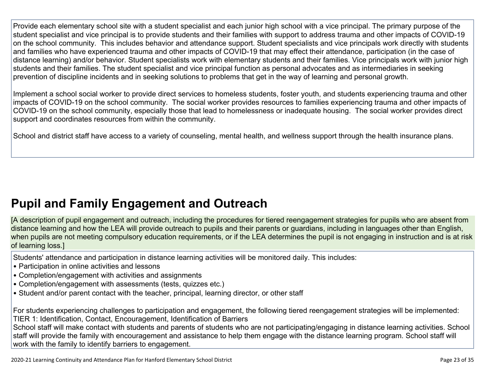Provide each elementary school site with a student specialist and each junior high school with a vice principal. The primary purpose of the student specialist and vice principal is to provide students and their families with support to address trauma and other impacts of COVID-19 on the school community. This includes behavior and attendance support. Student specialists and vice principals work directly with students and families who have experienced trauma and other impacts of COVID-19 that may effect their attendance, participation (in the case of distance learning) and/or behavior. Student specialists work with elementary students and their families. Vice principals work with junior high students and their families. The student specialist and vice principal function as personal advocates and as intermediaries in seeking prevention of discipline incidents and in seeking solutions to problems that get in the way of learning and personal growth.

Implement a school social worker to provide direct services to homeless students, foster youth, and students experiencing trauma and other impacts of COVID-19 on the school community. The social worker provides resources to families experiencing trauma and other impacts of COVID-19 on the school community, especially those that lead to homelessness or inadequate housing. The social worker provides direct support and coordinates resources from within the community.

School and district staff have access to a variety of counseling, mental health, and wellness support through the health insurance plans.

## **Pupil and Family [Engagement](http://www.doc-tracking.com/screenshots/20LCP/Instructions/20LCPInstructions.htm#PupilEngagementandOutreach) and Outreach**

[A description of pupil engagement and outreach, including the procedures for tiered reengagement strategies for pupils who are absent from distance learning and how the LEA will provide outreach to pupils and their parents or guardians, including in languages other than English, when pupils are not meeting compulsory education requirements, or if the LEA determines the pupil is not engaging in instruction and is at risk of learning loss.]

Students' attendance and participation in distance learning activities will be monitored daily. This includes:

- Participation in online activities and lessons
- Completion/engagement with activities and assignments
- Completion/engagement with assessments (tests, quizzes etc.)
- Student and/or parent contact with the teacher, principal, learning director, or other staff

For students experiencing challenges to participation and engagement, the following tiered reengagement strategies will be implemented: TIER 1: Identification, Contact, Encouragement, Identification of Barriers

School staff will make contact with students and parents of students who are not participating/engaging in distance learning activities. School staff will provide the family with encouragement and assistance to help them engage with the distance learning program. School staff will work with the family to identify barriers to engagement.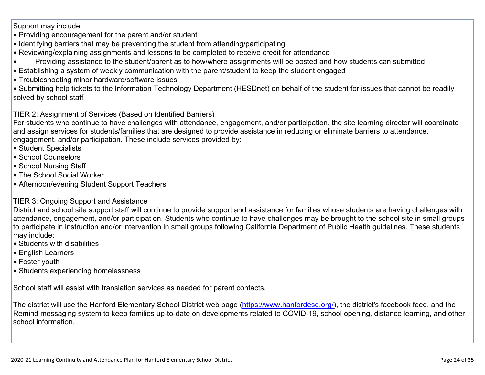Support may include:

- Providing encouragement for the parent and/or student
- Identifying barriers that may be preventing the student from attending/participating
- Reviewing/explaining assignments and lessons to be completed to receive credit for attendance
- Providing assistance to the student/parent as to how/where assignments will be posted and how students can submitted
- Establishing a system of weekly communication with the parent/student to keep the student engaged
- Troubleshooting minor hardware/software issues

• Submitting help tickets to the Information Technology Department (HESDnet) on behalf of the student for issues that cannot be readily solved by school staff

TIER 2: Assignment of Services (Based on Identified Barriers)

For students who continue to have challenges with attendance, engagement, and/or participation, the site learning director will coordinate and assign services for students/families that are designed to provide assistance in reducing or eliminate barriers to attendance, engagement, and/or participation. These include services provided by:

- Student Specialists
- School Counselors
- School Nursing Staff
- The School Social Worker
- Afternoon/evening Student Support Teachers
- TIER 3: Ongoing Support and Assistance

District and school site support staff will continue to provide support and assistance for families whose students are having challenges with attendance, engagement, and/or participation. Students who continue to have challenges may be brought to the school site in small groups to participate in instruction and/or intervention in small groups following California Department of Public Health guidelines. These students may include:

- Students with disabilities
- English Learners
- Foster youth
- Students experiencing homelessness

School staff will assist with translation services as needed for parent contacts.

The district will use the Hanford Elementary School District web page ([https://www.hanfordesd.org/\)](https://www.hanfordesd.org/), the district's facebook feed, and the Remind messaging system to keep families up-to-date on developments related to COVID-19, school opening, distance learning, and other school information.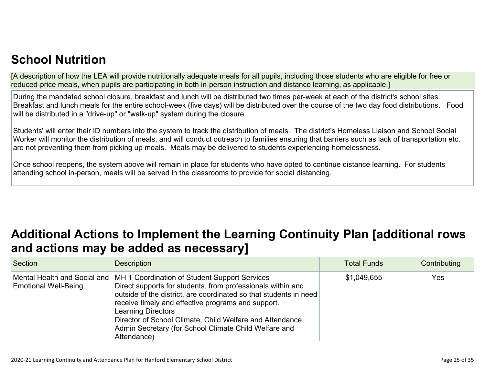## **School [Nutrition](http://www.doc-tracking.com/screenshots/20LCP/Instructions/20LCPInstructions.htm#SchoolNutrition)**

[A description of how the LEA will provide nutritionally adequate meals for all pupils, including those students who are eligible for free or reduced-price meals, when pupils are participating in both in-person instruction and distance learning, as applicable.]

During the mandated school closure, breakfast and lunch will be distributed two times per-week at each of the district's school sites. Breakfast and lunch meals for the entire school-week (five days) will be distributed over the course of the two day food distributions. Food will be distributed in a "drive-up" or "walk-up" system during the closure.

Students' will enter their ID numbers into the system to track the distribution of meals. The district's Homeless Liaison and School Social Worker will monitor the distribution of meals, and will conduct outreach to families ensuring that barriers such as lack of transportation etc. are not preventing them from picking up meals. Meals may be delivered to students experiencing homelessness.

Once school reopens, the system above will remain in place for students who have opted to continue distance learning. For students attending school in-person, meals will be served in the classrooms to provide for social distancing.

## **Additional Actions to Implement the Learning Continuity Plan [\[additional](http://www.doc-tracking.com/screenshots/20LCP/Instructions/20LCPInstructions.htm#AdditionalActions) rows and actions may be added as [necessary\]](http://www.doc-tracking.com/screenshots/20LCP/Instructions/20LCPInstructions.htm#AdditionalActions)**

| Section                                                     | <b>Description</b>                                                                                                                                                                                                                                                                                                                                                                                       | <b>Total Funds</b> | Contributing |
|-------------------------------------------------------------|----------------------------------------------------------------------------------------------------------------------------------------------------------------------------------------------------------------------------------------------------------------------------------------------------------------------------------------------------------------------------------------------------------|--------------------|--------------|
| Mental Health and Social and<br><b>Emotional Well-Being</b> | MH 1 Coordination of Student Support Services<br>Direct supports for students, from professionals within and<br>outside of the district, are coordinated so that students in need<br>receive timely and effective programs and support.<br><b>Learning Directors</b><br>Director of School Climate, Child Welfare and Attendance<br>Admin Secretary (for School Climate Child Welfare and<br>Attendance) | \$1,049,655        | Yes          |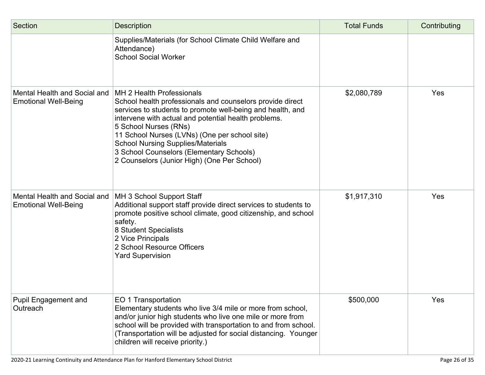| Section                                                     | <b>Description</b>                                                                                                                                                                                                                                                                                                                                                                                                            | <b>Total Funds</b> | Contributing |
|-------------------------------------------------------------|-------------------------------------------------------------------------------------------------------------------------------------------------------------------------------------------------------------------------------------------------------------------------------------------------------------------------------------------------------------------------------------------------------------------------------|--------------------|--------------|
|                                                             | Supplies/Materials (for School Climate Child Welfare and<br>Attendance)<br><b>School Social Worker</b>                                                                                                                                                                                                                                                                                                                        |                    |              |
| Mental Health and Social and<br><b>Emotional Well-Being</b> | MH 2 Health Professionals<br>School health professionals and counselors provide direct<br>services to students to promote well-being and health, and<br>intervene with actual and potential health problems.<br>5 School Nurses (RNs)<br>11 School Nurses (LVNs) (One per school site)<br><b>School Nursing Supplies/Materials</b><br>3 School Counselors (Elementary Schools)<br>2 Counselors (Junior High) (One Per School) | \$2,080,789        | Yes          |
| Mental Health and Social and<br><b>Emotional Well-Being</b> | MH 3 School Support Staff<br>Additional support staff provide direct services to students to<br>promote positive school climate, good citizenship, and school<br>safety.<br>8 Student Specialists<br>2 Vice Principals<br>2 School Resource Officers<br><b>Yard Supervision</b>                                                                                                                                               | \$1,917,310        | Yes          |
| <b>Pupil Engagement and</b><br>Outreach                     | EO 1 Transportation<br>Elementary students who live 3/4 mile or more from school,<br>and/or junior high students who live one mile or more from<br>school will be provided with transportation to and from school.<br>(Transportation will be adjusted for social distancing. Younger<br>children will receive priority.)                                                                                                     | \$500,000          | Yes          |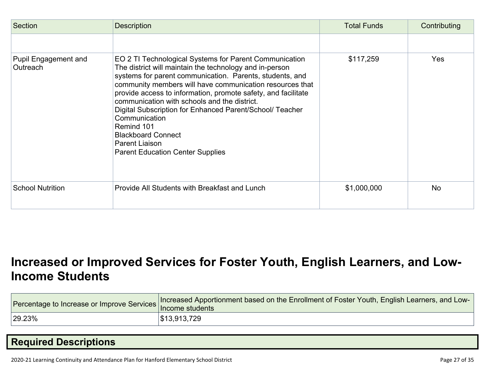| Section                                 | <b>Description</b>                                                                                                                                                                                                                                                                                                                                                                                                                                                                                                                              | <b>Total Funds</b> | Contributing |
|-----------------------------------------|-------------------------------------------------------------------------------------------------------------------------------------------------------------------------------------------------------------------------------------------------------------------------------------------------------------------------------------------------------------------------------------------------------------------------------------------------------------------------------------------------------------------------------------------------|--------------------|--------------|
|                                         |                                                                                                                                                                                                                                                                                                                                                                                                                                                                                                                                                 |                    |              |
| <b>Pupil Engagement and</b><br>Outreach | EO 2 TI Technological Systems for Parent Communication<br>The district will maintain the technology and in-person<br>systems for parent communication. Parents, students, and<br>community members will have communication resources that<br>provide access to information, promote safety, and facilitate<br>communication with schools and the district.<br>Digital Subscription for Enhanced Parent/School/ Teacher<br>Communication<br>Remind 101<br><b>Blackboard Connect</b><br>Parent Liaison<br><b>Parent Education Center Supplies</b> | \$117,259          | Yes          |
| <b>School Nutrition</b>                 | Provide All Students with Breakfast and Lunch                                                                                                                                                                                                                                                                                                                                                                                                                                                                                                   | \$1,000,000        | <b>No</b>    |

## **[Increased](http://www.doc-tracking.com/screenshots/20LCP/Instructions/20LCPInstructions.htm#IncreasedorImprovedServices) or Improved Services for Foster Youth, English Learners, and Low-Income [Students](http://www.doc-tracking.com/screenshots/20LCP/Instructions/20LCPInstructions.htm#IncreasedorImprovedServices)**

|        | Percentage to Increase or Improve Services Increased Apportionment based on the Enrollment of Foster Youth, English Learners, and Low<br>Income students |
|--------|----------------------------------------------------------------------------------------------------------------------------------------------------------|
| 29.23% | \$13,913,729                                                                                                                                             |

## **Required [Descriptions](http://www.doc-tracking.com/screenshots/20LCP/Instructions/20LCPInstructions.htm#RequiredDescriptions)**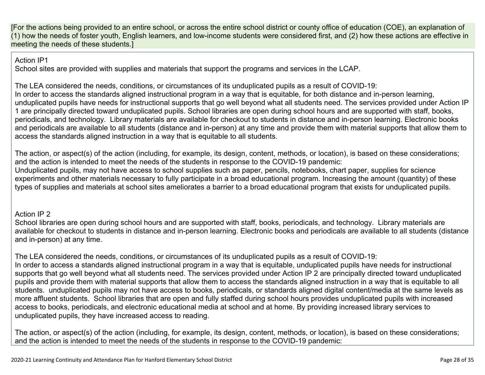[For the actions being provided to an entire school, or across the entire school district or county office of education (COE), an explanation of (1) how the needs of foster youth, English learners, and low-income students were considered first, and (2) how these actions are effective in meeting the needs of these students.]

Action IP1

School sites are provided with supplies and materials that support the programs and services in the LCAP.

The LEA considered the needs, conditions, or circumstances of its unduplicated pupils as a result of COVID-19: In order to access the standards aligned instructional program in a way that is equitable, for both distance and in-person learning, unduplicated pupils have needs for instructional supports that go well beyond what all students need. The services provided under Action IP 1 are principally directed toward unduplicated pupils. School libraries are open during school hours and are supported with staff, books, periodicals, and technology. Library materials are available for checkout to students in distance and in-person learning. Electronic books and periodicals are available to all students (distance and in-person) at any time and provide them with material supports that allow them to access the standards aligned instruction in a way that is equitable to all students.

The action, or aspect(s) of the action (including, for example, its design, content, methods, or location), is based on these considerations; and the action is intended to meet the needs of the students in response to the COVID-19 pandemic: Unduplicated pupils, may not have access to school supplies such as paper, pencils, notebooks, chart paper, supplies for science experiments and other materials necessary to fully participate in a broad educational program. Increasing the amount (quantity) of these types of supplies and materials at school sites ameliorates a barrier to a broad educational program that exists for unduplicated pupils.

#### Action IP 2

School libraries are open during school hours and are supported with staff, books, periodicals, and technology. Library materials are available for checkout to students in distance and in-person learning. Electronic books and periodicals are available to all students (distance and in-person) at any time.

The LEA considered the needs, conditions, or circumstances of its unduplicated pupils as a result of COVID-19: In order to access a standards aligned instructional program in a way that is equitable, unduplicated pupils have needs for instructional supports that go well beyond what all students need. The services provided under Action IP 2 are principally directed toward unduplicated pupils and provide them with material supports that allow them to access the standards aligned instruction in a way that is equitable to all students. unduplicated pupils may not have access to books, periodicals, or standards aligned digital content/media at the same levels as more affluent students. School libraries that are open and fully staffed during school hours provides unduplicated pupils with increased access to books, periodicals, and electronic educational media at school and at home. By providing increased library services to unduplicated pupils, they have increased access to reading.

The action, or aspect(s) of the action (including, for example, its design, content, methods, or location), is based on these considerations; and the action is intended to meet the needs of the students in response to the COVID-19 pandemic: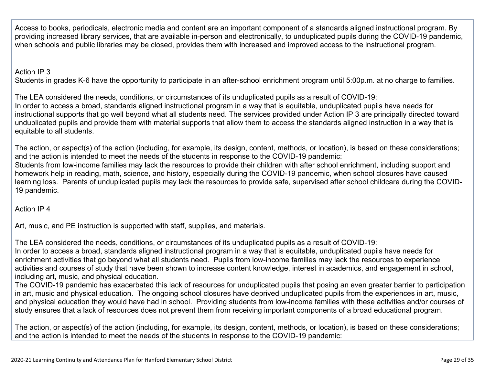Access to books, periodicals, electronic media and content are an important component of a standards aligned instructional program. By providing increased library services, that are available in-person and electronically, to unduplicated pupils during the COVID-19 pandemic, when schools and public libraries may be closed, provides them with increased and improved access to the instructional program.

#### Action IP 3

Students in grades K-6 have the opportunity to participate in an after-school enrichment program until 5:00p.m. at no charge to families.

The LEA considered the needs, conditions, or circumstances of its unduplicated pupils as a result of COVID-19: In order to access a broad, standards aligned instructional program in a way that is equitable, unduplicated pupils have needs for instructional supports that go well beyond what all students need. The services provided under Action IP 3 are principally directed toward unduplicated pupils and provide them with material supports that allow them to access the standards aligned instruction in a way that is equitable to all students.

The action, or aspect(s) of the action (including, for example, its design, content, methods, or location), is based on these considerations; and the action is intended to meet the needs of the students in response to the COVID-19 pandemic: Students from low-income families may lack the resources to provide their children with after school enrichment, including support and homework help in reading, math, science, and history, especially during the COVID-19 pandemic, when school closures have caused

learning loss. Parents of unduplicated pupils may lack the resources to provide safe, supervised after school childcare during the COVID-19 pandemic.

Action IP 4

Art, music, and PE instruction is supported with staff, supplies, and materials.

The LEA considered the needs, conditions, or circumstances of its unduplicated pupils as a result of COVID-19:

In order to access a broad, standards aligned instructional program in a way that is equitable, unduplicated pupils have needs for enrichment activities that go beyond what all students need. Pupils from low-income families may lack the resources to experience activities and courses of study that have been shown to increase content knowledge, interest in academics, and engagement in school, including art, music, and physical education.

The COVID-19 pandemic has exacerbated this lack of resources for unduplicated pupils that posing an even greater barrier to participation in art, music and physical education. The ongoing school closures have deprived unduplicated pupils from the experiences in art, music, and physical education they would have had in school. Providing students from low-income families with these activities and/or courses of study ensures that a lack of resources does not prevent them from receiving important components of a broad educational program.

The action, or aspect(s) of the action (including, for example, its design, content, methods, or location), is based on these considerations; and the action is intended to meet the needs of the students in response to the COVID-19 pandemic: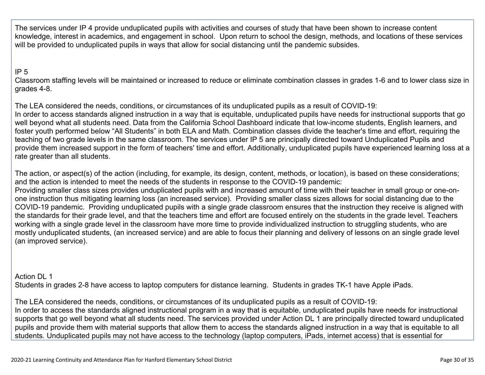The services under IP 4 provide unduplicated pupils with activities and courses of study that have been shown to increase content knowledge, interest in academics, and engagement in school. Upon return to school the design, methods, and locations of these services will be provided to unduplicated pupils in ways that allow for social distancing until the pandemic subsides.

#### IP 5

Classroom staffing levels will be maintained or increased to reduce or eliminate combination classes in grades 1-6 and to lower class size in grades 4-8.

The LEA considered the needs, conditions, or circumstances of its unduplicated pupils as a result of COVID-19: In order to access standards aligned instruction in a way that is equitable, unduplicated pupils have needs for instructional supports that go well beyond what all students need. Data from the California School Dashboard indicate that low-income students, English learners, and foster youth performed below "All Students" in both ELA and Math. Combination classes divide the teacher's time and effort, requiring the teaching of two grade levels in the same classroom. The services under IP 5 are principally directed toward Unduplicated Pupils and provide them increased support in the form of teachers' time and effort. Additionally, unduplicated pupils have experienced learning loss at a rate greater than all students.

The action, or aspect(s) of the action (including, for example, its design, content, methods, or location), is based on these considerations; and the action is intended to meet the needs of the students in response to the COVID-19 pandemic:

Providing smaller class sizes provides unduplicated pupils with and increased amount of time with their teacher in small group or one-onone instruction thus mitigating learning loss (an increased service). Providing smaller class sizes allows for social distancing due to the COVID-19 pandemic. Providing unduplicated pupils with a single grade classroom ensures that the instruction they receive is aligned with the standards for their grade level, and that the teachers time and effort are focused entirely on the students in the grade level. Teachers working with a single grade level in the classroom have more time to provide individualized instruction to struggling students, who are mostly unduplicated students, (an increased service) and are able to focus their planning and delivery of lessons on an single grade level (an improved service).

Action DL 1 Students in grades 2-8 have access to laptop computers for distance learning. Students in grades TK-1 have Apple iPads.

The LEA considered the needs, conditions, or circumstances of its unduplicated pupils as a result of COVID-19: In order to access the standards aligned instructional program in a way that is equitable, unduplicated pupils have needs for instructional supports that go well beyond what all students need. The services provided under Action DL 1 are principally directed toward unduplicated pupils and provide them with material supports that allow them to access the standards aligned instruction in a way that is equitable to all students. Unduplicated pupils may not have access to the technology (laptop computers, iPads, internet access) that is essential for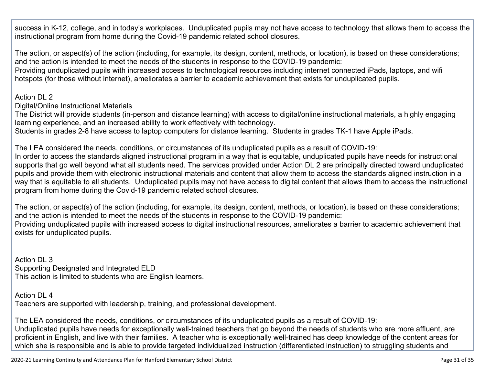success in K-12, college, and in today's workplaces. Unduplicated pupils may not have access to technology that allows them to access the instructional program from home during the Covid-19 pandemic related school closures.

The action, or aspect(s) of the action (including, for example, its design, content, methods, or location), is based on these considerations; and the action is intended to meet the needs of the students in response to the COVID-19 pandemic:

Providing unduplicated pupils with increased access to technological resources including internet connected iPads, laptops, and wifi hotspots (for those without internet), ameliorates a barrier to academic achievement that exists for unduplicated pupils.

Action DL 2

Digital/Online Instructional Materials

The District will provide students (in-person and distance learning) with access to digital/online instructional materials, a highly engaging learning experience, and an increased ability to work effectively with technology.

Students in grades 2-8 have access to laptop computers for distance learning. Students in grades TK-1 have Apple iPads.

The LEA considered the needs, conditions, or circumstances of its unduplicated pupils as a result of COVID-19: In order to access the standards aligned instructional program in a way that is equitable, unduplicated pupils have needs for instructional supports that go well beyond what all students need. The services provided under Action DL 2 are principally directed toward unduplicated pupils and provide them with electronic instructional materials and content that allow them to access the standards aligned instruction in a way that is equitable to all students. Unduplicated pupils may not have access to digital content that allows them to access the instructional program from home during the Covid-19 pandemic related school closures.

The action, or aspect(s) of the action (including, for example, its design, content, methods, or location), is based on these considerations; and the action is intended to meet the needs of the students in response to the COVID-19 pandemic: Providing unduplicated pupils with increased access to digital instructional resources, ameliorates a barrier to academic achievement that exists for unduplicated pupils.

Action DL 3 Supporting Designated and Integrated ELD This action is limited to students who are English learners.

Action DL 4 Teachers are supported with leadership, training, and professional development.

The LEA considered the needs, conditions, or circumstances of its unduplicated pupils as a result of COVID-19: Unduplicated pupils have needs for exceptionally well-trained teachers that go beyond the needs of students who are more affluent, are proficient in English, and live with their families. A teacher who is exceptionally well-trained has deep knowledge of the content areas for which she is responsible and is able to provide targeted individualized instruction (differentiated instruction) to struggling students and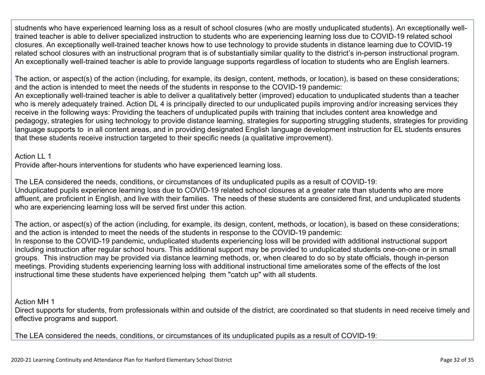studnents who have experienced learning loss as a result of school closures (who are mostly unduplicated students). An exceptionally welltrained teacher is able to deliver specialized instruction to students who are experiencing learning loss due to COVID-19 related school closures. An exceptionally well-trained teacher knows how to use technology to provide students in distance learning due to COVID-19 related school closures with an instructional program that is of substantially similar quality to the district's in-person instructional program. An exceptionally well-trained teacher is able to provide language supports regardless of location to students who are English learners.

The action, or aspect(s) of the action (including, for example, its design, content, methods, or location), is based on these considerations; and the action is intended to meet the needs of the students in response to the COVID-19 pandemic: An exceptionally well-trained teacher is able to deliver a qualitatively better (improved) education to unduplicated students than a teacher who is merely adequately trained. Action DL 4 is principally directed to our unduplicated pupils improving and/or increasing services they receive in the following ways: Providing the teachers of unduplicated pupils with training that includes content area knowledge and pedagogy, strategies for using technology to provide distance learning, strategies for supporting struggling students, strategies for providing language supports to in all content areas, and in providing designated English language development instruction for EL students ensures that these students receive instruction targeted to their specific needs (a qualitative improvement).

Action II<sub>1</sub>

Provide after-hours interventions for students who have experienced learning loss.

The LEA considered the needs, conditions, or circumstances of its unduplicated pupils as a result of COVID-19: Unduplicated pupils experience learning loss due to COVID-19 related school closures at a greater rate than students who are more affluent, are proficient in English, and live with their families. The needs of these students are considered first, and unduplicated students who are experiencing learning loss will be served first under this action.

The action, or aspect(s) of the action (including, for example, its design, content, methods, or location), is based on these considerations; and the action is intended to meet the needs of the students in response to the COVID-19 pandemic: In response to the COVID-19 pandemic, unduplicated students experiencing loss will be provided with additional instructional support including instruction after regular school hours. This additional support may be provided to unduplicated students one-on-one or in small groups. This instruction may be provided via distance learning methods, or, when cleared to do so by state officials, though in-person meetings. Providing students experiencing learning loss with additional instructional time ameliorates some of the effects of the lost instructional time these students have experienced helping them "catch up" with all students.

Action MH 1

Direct supports for students, from professionals within and outside of the district, are coordinated so that students in need receive timely and effective programs and support.

The LEA considered the needs, conditions, or circumstances of its unduplicated pupils as a result of COVID-19: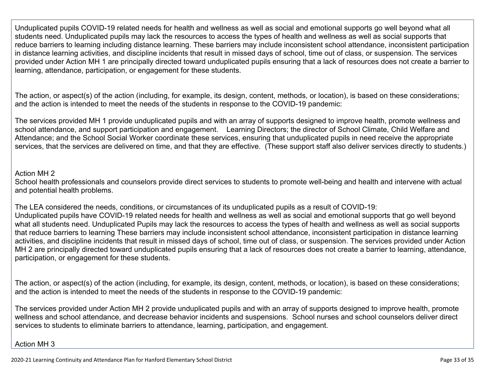Unduplicated pupils COVID-19 related needs for health and wellness as well as social and emotional supports go well beyond what all students need. Unduplicated pupils may lack the resources to access the types of health and wellness as well as social supports that reduce barriers to learning including distance learning. These barriers may include inconsistent school attendance, inconsistent participation in distance learning activities, and discipline incidents that result in missed days of school, time out of class, or suspension. The services provided under Action MH 1 are principally directed toward unduplicated pupils ensuring that a lack of resources does not create a barrier to learning, attendance, participation, or engagement for these students.

The action, or aspect(s) of the action (including, for example, its design, content, methods, or location), is based on these considerations; and the action is intended to meet the needs of the students in response to the COVID-19 pandemic:

The services provided MH 1 provide unduplicated pupils and with an array of supports designed to improve health, promote wellness and school attendance, and support participation and engagement. Learning Directors; the director of School Climate, Child Welfare and Attendance; and the School Social Worker coordinate these services, ensuring that unduplicated pupils in need receive the appropriate services, that the services are delivered on time, and that they are effective. (These support staff also deliver services directly to students.)

#### Action MH 2

School health professionals and counselors provide direct services to students to promote well-being and health and intervene with actual and potential health problems.

The LEA considered the needs, conditions, or circumstances of its unduplicated pupils as a result of COVID-19: Unduplicated pupils have COVID-19 related needs for health and wellness as well as social and emotional supports that go well beyond what all students need. Unduplicated Pupils may lack the resources to access the types of health and wellness as well as social supports that reduce barriers to learning These barriers may include inconsistent school attendance, inconsistent participation in distance learning activities, and discipline incidents that result in missed days of school, time out of class, or suspension. The services provided under Action MH 2 are principally directed toward unduplicated pupils ensuring that a lack of resources does not create a barrier to learning, attendance, participation, or engagement for these students.

The action, or aspect(s) of the action (including, for example, its design, content, methods, or location), is based on these considerations; and the action is intended to meet the needs of the students in response to the COVID-19 pandemic:

The services provided under Action MH 2 provide unduplicated pupils and with an array of supports designed to improve health, promote wellness and school attendance, and decrease behavior incidents and suspensions. School nurses and school counselors deliver direct services to students to eliminate barriers to attendance, learning, participation, and engagement.

#### Action MH 3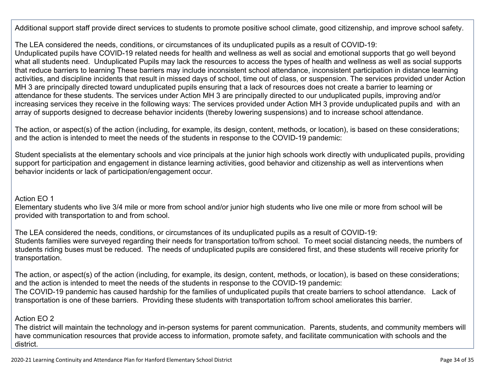Additional support staff provide direct services to students to promote positive school climate, good citizenship, and improve school safety.

The LEA considered the needs, conditions, or circumstances of its unduplicated pupils as a result of COVID-19:

Unduplicated pupils have COVID-19 related needs for health and wellness as well as social and emotional supports that go well beyond what all students need. Unduplicated Pupils may lack the resources to access the types of health and wellness as well as social supports that reduce barriers to learning These barriers may include inconsistent school attendance, inconsistent participation in distance learning activities, and discipline incidents that result in missed days of school, time out of class, or suspension. The services provided under Action MH 3 are principally directed toward unduplicated pupils ensuring that a lack of resources does not create a barrier to learning or attendance for these students. The services under Action MH 3 are principally directed to our unduplicated pupils, improving and/or increasing services they receive in the following ways: The services provided under Action MH 3 provide unduplicated pupils and with an array of supports designed to decrease behavior incidents (thereby lowering suspensions) and to increase school attendance.

The action, or aspect(s) of the action (including, for example, its design, content, methods, or location), is based on these considerations; and the action is intended to meet the needs of the students in response to the COVID-19 pandemic:

Student specialists at the elementary schools and vice principals at the junior high schools work directly with unduplicated pupils, providing support for participation and engagement in distance learning activities, good behavior and citizenship as well as interventions when behavior incidents or lack of participation/engagement occur.

#### Action EO 1

Elementary students who live 3/4 mile or more from school and/or junior high students who live one mile or more from school will be provided with transportation to and from school.

The LEA considered the needs, conditions, or circumstances of its unduplicated pupils as a result of COVID-19: Students families were surveyed regarding their needs for transportation to/from school. To meet social distancing needs, the numbers of students riding buses must be reduced. The needs of unduplicated pupils are considered first, and these students will receive priority for transportation.

The action, or aspect(s) of the action (including, for example, its design, content, methods, or location), is based on these considerations; and the action is intended to meet the needs of the students in response to the COVID-19 pandemic: The COVID-19 pandemic has caused hardship for the families of unduplicated pupils that create barriers to school attendance. Lack of transportation is one of these barriers. Providing these students with transportation to/from school ameliorates this barrier.

#### Action EO 2

The district will maintain the technology and in-person systems for parent communication. Parents, students, and community members will have communication resources that provide access to information, promote safety, and facilitate communication with schools and the district.